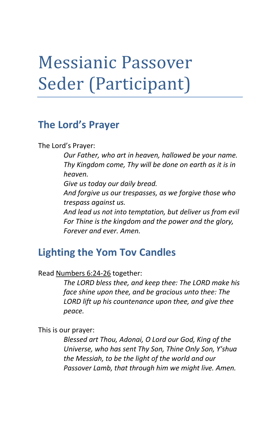# Messianic Passover Seder (Participant)

### **The Lord's Prayer**

The Lord's Prayer:

*Our Father, who art in heaven, hallowed be your name. Thy Kingdom come, Thy will be done on earth as it is in heaven. Give us today our daily bread. And forgive us our trespasses, as we forgive those who trespass against us. And lead us not into temptation, but deliver us from evil For Thine is the kingdom and the power and the glory, Forever and ever. Amen.*

### **Lighting the Yom Tov Candles**

Read [Numbers 6:24-26](http://biblia.com/bible/nasb95/Numbers%206.24-26) together:

*The LORD bless thee, and keep thee: The LORD make his face shine upon thee, and be gracious unto thee: The LORD lift up his countenance upon thee, and give thee peace.* 

This is our prayer:

*Blessed art Thou, Adonai, O Lord our God, King of the Universe, who has sent Thy Son, Thine Only Son, Y'shua the Messiah, to be the light of the world and our Passover Lamb, that through him we might live. Amen.*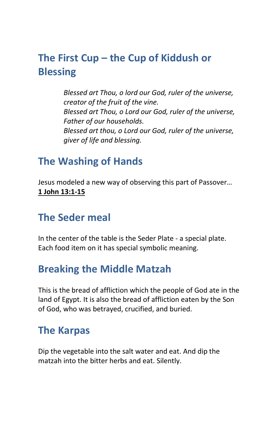# **The First Cup – the Cup of Kiddush or Blessing**

*Blessed art Thou, o lord our God, ruler of the universe, creator of the fruit of the vine. Blessed art Thou, o Lord our God, ruler of the universe, Father of our households. Blessed art thou, o Lord our God, ruler of the universe, giver of life and blessing.*

### **The Washing of Hands**

Jesus modeled a new way of observing this part of Passover… **1 John 13:1-15**

### **The Seder meal**

In the center of the table is the Seder Plate - a special plate. Each food item on it has special symbolic meaning.

### **Breaking the Middle Matzah**

This is the bread of affliction which the people of God ate in the land of Egypt. It is also the bread of affliction eaten by the Son of God, who was betrayed, crucified, and buried.

### **The Karpas**

Dip the vegetable into the salt water and eat. And dip the matzah into the bitter herbs and eat. Silently.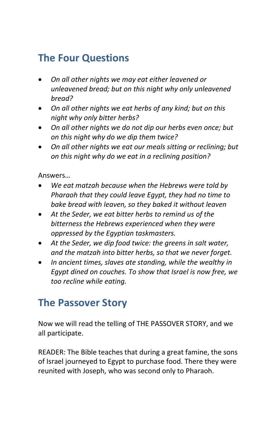# **The Four Questions**

- *On all other nights we may eat either leavened or unleavened bread; but on this night why only unleavened bread?*
- *On all other nights we eat herbs of any kind; but on this night why only bitter herbs?*
- *On all other nights we do not dip our herbs even once; but on this night why do we dip them twice?*
- *On all other nights we eat our meals sitting or reclining; but on this night why do we eat in a reclining position?*

Answers…

- *We eat matzah because when the Hebrews were told by Pharaoh that they could leave Egypt, they had no time to bake bread with leaven, so they baked it without leaven*
- *At the Seder, we eat bitter herbs to remind us of the bitterness the Hebrews experienced when they were oppressed by the Egyptian taskmasters.*
- *At the Seder, we dip food twice: the greens in salt water, and the matzah into bitter herbs, so that we never forget.*
- *In ancient times, slaves ate standing, while the wealthy in Egypt dined on couches. To show that Israel is now free, we too recline while eating.*

# **The Passover Story**

Now we will read the telling of THE PASSOVER STORY, and we all participate.

READER: The Bible teaches that during a great famine, the sons of Israel journeyed to Egypt to purchase food. There they were reunited with Joseph, who was second only to Pharaoh.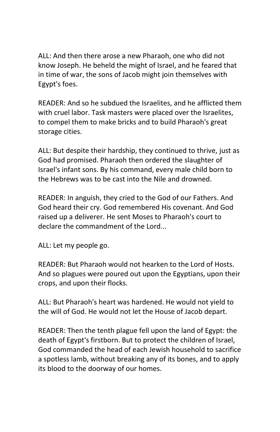ALL: And then there arose a new Pharaoh, one who did not know Joseph. He beheld the might of Israel, and he feared that in time of war, the sons of Jacob might join themselves with Egypt's foes.

READER: And so he subdued the Israelites, and he afflicted them with cruel labor. Task masters were placed over the Israelites, to compel them to make bricks and to build Pharaoh's great storage cities.

ALL: But despite their hardship, they continued to thrive, just as God had promised. Pharaoh then ordered the slaughter of Israel's infant sons. By his command, every male child born to the Hebrews was to be cast into the Nile and drowned.

READER: In anguish, they cried to the God of our Fathers. And God heard their cry. God remembered His covenant. And God raised up a deliverer. He sent Moses to Pharaoh's court to declare the commandment of the Lord...

ALL: Let my people go.

READER: But Pharaoh would not hearken to the Lord of Hosts. And so plagues were poured out upon the Egyptians, upon their crops, and upon their flocks.

ALL: But Pharaoh's heart was hardened. He would not yield to the will of God. He would not let the House of Jacob depart.

READER: Then the tenth plague fell upon the land of Egypt: the death of Egypt's firstborn. But to protect the children of Israel, God commanded the head of each Jewish household to sacrifice a spotless lamb, without breaking any of its bones, and to apply its blood to the doorway of our homes.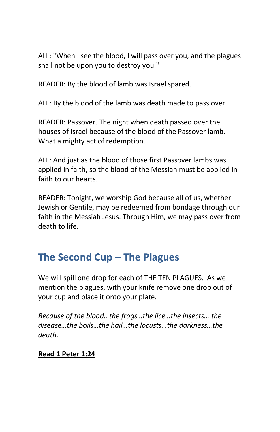ALL: "When I see the blood, I will pass over you, and the plagues shall not be upon you to destroy you."

READER: By the blood of lamb was Israel spared.

ALL: By the blood of the lamb was death made to pass over.

READER: Passover. The night when death passed over the houses of Israel because of the blood of the Passover lamb. What a mighty act of redemption.

ALL: And just as the blood of those first Passover lambs was applied in faith, so the blood of the Messiah must be applied in faith to our hearts.

READER: Tonight, we worship God because all of us, whether Jewish or Gentile, may be redeemed from bondage through our faith in the Messiah Jesus. Through Him, we may pass over from death to life.

# **The Second Cup – The Plagues**

We will spill one drop for each of THE TEN PLAGUES. As we mention the plagues, with your knife remove one drop out of your cup and place it onto your plate.

*Because of the blood…the frogs…the lice…the insects… the disease…the boils…the hail…the locusts…the darkness…the death.*

#### **Read 1 Peter 1:24**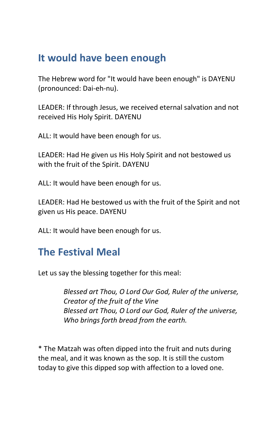### **It would have been enough**

The Hebrew word for "It would have been enough" is DAYENU (pronounced: Dai-eh-nu).

LEADER: If through Jesus, we received eternal salvation and not received His Holy Spirit. DAYENU

ALL: It would have been enough for us.

LEADER: Had He given us His Holy Spirit and not bestowed us with the fruit of the Spirit. DAYENU

ALL: It would have been enough for us.

LEADER: Had He bestowed us with the fruit of the Spirit and not given us His peace. DAYENU

ALL: It would have been enough for us.

### **The Festival Meal**

Let us say the blessing together for this meal:

*Blessed art Thou, O Lord Our God, Ruler of the universe, Creator of the fruit of the Vine Blessed art Thou, O Lord our God, Ruler of the universe, Who brings forth bread from the earth.*

\* The Matzah was often dipped into the fruit and nuts during the meal, and it was known as the sop. It is still the custom today to give this dipped sop with affection to a loved one.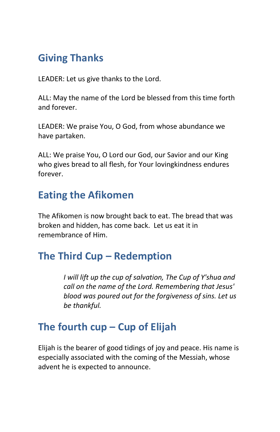### **Giving Thanks**

LEADER: Let us give thanks to the Lord.

ALL: May the name of the Lord be blessed from this time forth and forever.

LEADER: We praise You, O God, from whose abundance we have partaken.

ALL: We praise You, O Lord our God, our Savior and our King who gives bread to all flesh, for Your lovingkindness endures forever.

### **Eating the Afikomen**

The Afikomen is now brought back to eat. The bread that was broken and hidden, has come back. Let us eat it in remembrance of Him.

### **The Third Cup – Redemption**

*I will lift up the cup of salvation, The Cup of Y'shua and call on the name of the Lord. Remembering that Jesus' blood was poured out for the forgiveness of sins. Let us be thankful.*

# **The fourth cup – Cup of Elijah**

Elijah is the bearer of good tidings of joy and peace. His name is especially associated with the coming of the Messiah, whose advent he is expected to announce.